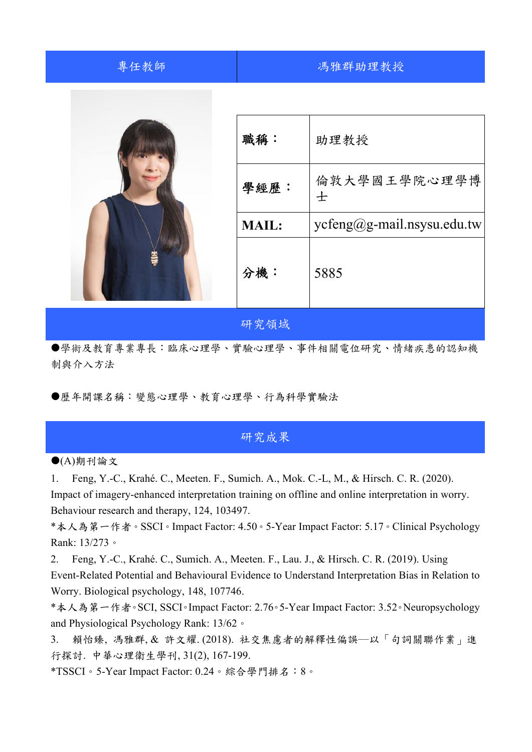| 專任教師 |              | 馮雅群助理教授                      |
|------|--------------|------------------------------|
|      |              |                              |
|      | 職稱:          | 助理教授                         |
|      | 學經歷:         | 倫敦大學國王學院心理學博<br>士            |
|      | <b>MAIL:</b> | $ycfeng@g-mail.nsysu.edu.tw$ |
|      | 分機:          | 5885                         |
|      | 研究領域         |                              |

學術及教育專業專長:臨床心理學、實驗心理學、事件相關電位研究、情緒疾患的認知機 制與介入方法

歷年開課名稱:變態心理學、教育心理學、行為科學實驗法

## 研究成果

 $\bigodot$ (A)期刊論文

1. Feng, Y.-C., Krahé. C., Meeten. F., Sumich. A., Mok. C.-L, M., & Hirsch. C. R. (2020). Impact of imagery-enhanced interpretation training on offline and online interpretation in worry. Behaviour research and therapy, 124, 103497.

\*本人為第一作者。SSCI。Impact Factor: 4.50。5-Year Impact Factor: 5.17。Clinical Psychology Rank: 13/273。

2. Feng, Y.-C., Krahé. C., Sumich. A., Meeten. F., Lau. J., & Hirsch. C. R. (2019). Using Event-Related Potential and Behavioural Evidence to Understand Interpretation Bias in Relation to Worry. Biological psychology, 148, 107746.

\*本人為第一作者。SCI, SSCI。Impact Factor: 2.76。5-Year Impact Factor: 3.52。Neuropsychology and Physiological Psychology Rank: 13/62。

3. 賴怡臻, 馮雅群, & 許文耀. (2018). 社交焦慮者的解釋性偏誤―以「句詞關聯作業」進 行探討. 中華心理衛生學刊, 31(2), 167-199.

\*TSSCI。5-Year Impact Factor: 0.24。綜合學門排名:8。